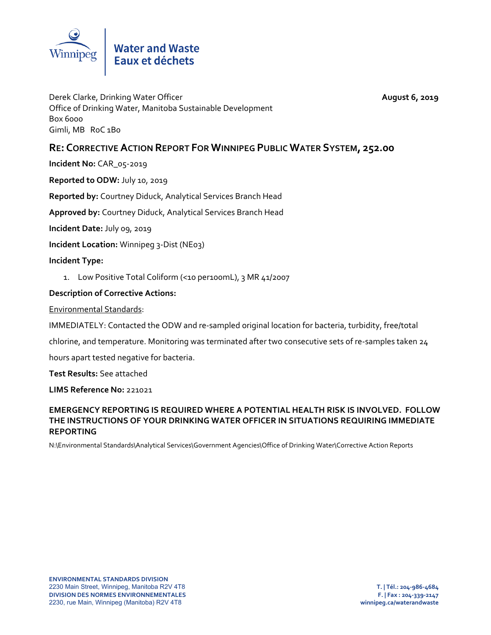

Derek Clarke, Drinking Water Officer **August 6, 2019** Office of Drinking Water, Manitoba Sustainable Development Box 6000 Gimli, MB RoC 1Bo

# **RE: CORRECTIVEACTION REPORT FOR WINNIPEG PUBLIC WATER SYSTEM, 252.00**

**Incident No:** CAR\_05‐2019

**Reported to ODW:** July 10, 2019

**Reported by:** Courtney Diduck, Analytical Services Branch Head

**Approved by:** Courtney Diduck, Analytical Services Branch Head

**Incident Date:** July 09, 2019

**Incident Location:** Winnipeg 3‐Dist (NE03)

## **Incident Type:**

1. Low Positive Total Coliform (<10 per100mL), 3 MR 41/2007

## **Description of Corrective Actions:**

Environmental Standards:

IMMEDIATELY: Contacted the ODW and re‐sampled original location for bacteria, turbidity, free/total

chlorine, and temperature. Monitoring was terminated after two consecutive sets of re‐samples taken 24

hours apart tested negative for bacteria.

**Test Results:** See attached

#### **LIMS Reference No:** 221021

## **EMERGENCY REPORTING IS REQUIRED WHERE A POTENTIAL HEALTH RISK IS INVOLVED. FOLLOW THE INSTRUCTIONS OF YOUR DRINKING WATER OFFICER IN SITUATIONS REQUIRING IMMEDIATE REPORTING**

N:\Environmental Standards\Analytical Services\Government Agencies\Office of Drinking Water\Corrective Action Reports